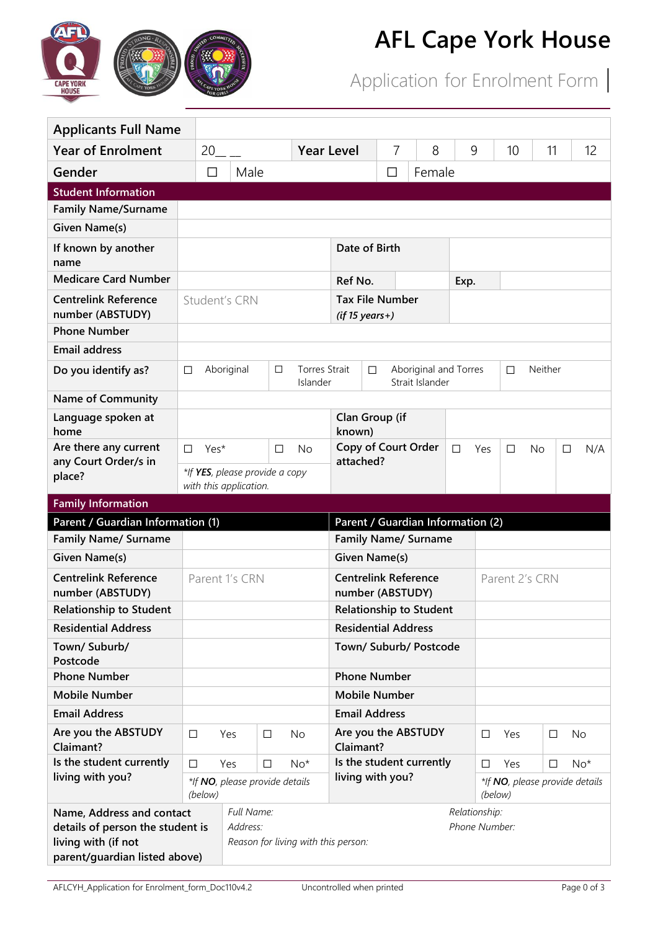

## **AFL Cape York House**

Application for Enrolment Form |

| <b>Applicants Full Name</b>                         |                |                                |        |                                  |                                              |         |   |                                          |        |         |        |                                |        |       |  |
|-----------------------------------------------------|----------------|--------------------------------|--------|----------------------------------|----------------------------------------------|---------|---|------------------------------------------|--------|---------|--------|--------------------------------|--------|-------|--|
| <b>Year of Enrolment</b>                            |                | 20                             |        | <b>Year Level</b>                |                                              |         | 7 | 8                                        |        | 9       | 10     | 11                             |        | 12    |  |
| Gender<br>$\Box$                                    |                | Male                           |        |                                  | Female<br>□                                  |         |   |                                          |        |         |        |                                |        |       |  |
| <b>Student Information</b>                          |                |                                |        |                                  |                                              |         |   |                                          |        |         |        |                                |        |       |  |
| <b>Family Name/Surname</b>                          |                |                                |        |                                  |                                              |         |   |                                          |        |         |        |                                |        |       |  |
| <b>Given Name(s)</b>                                |                |                                |        |                                  |                                              |         |   |                                          |        |         |        |                                |        |       |  |
| If known by another<br>name                         |                |                                |        |                                  | Date of Birth                                |         |   |                                          |        |         |        |                                |        |       |  |
| <b>Medicare Card Number</b>                         |                |                                |        |                                  |                                              | Ref No. |   |                                          |        | Exp.    |        |                                |        |       |  |
| <b>Centrelink Reference</b><br>number (ABSTUDY)     | Student's CRN  |                                |        |                                  | <b>Tax File Number</b><br>$(if 15 years+)$   |         |   |                                          |        |         |        |                                |        |       |  |
| <b>Phone Number</b>                                 |                |                                |        |                                  |                                              |         |   |                                          |        |         |        |                                |        |       |  |
| <b>Email address</b>                                |                |                                |        |                                  |                                              |         |   |                                          |        |         |        |                                |        |       |  |
| Do you identify as?                                 | □              | Aboriginal                     | □      | <b>Torres Strait</b><br>Islander |                                              | $\Box$  |   | Aboriginal and Torres<br>Strait Islander |        |         | $\Box$ | Neither                        |        |       |  |
| <b>Name of Community</b>                            |                |                                |        |                                  |                                              |         |   |                                          |        |         |        |                                |        |       |  |
| Language spoken at<br>home                          |                |                                |        |                                  | Clan Group (if<br>known)                     |         |   |                                          |        |         |        |                                |        |       |  |
| Are there any current                               | Yes*<br>$\Box$ |                                | $\Box$ | <b>No</b>                        |                                              |         |   | Copy of Court Order                      | $\Box$ | Yes     | $\Box$ | <b>No</b>                      | $\Box$ | N/A   |  |
| any Court Order/s in<br>place?                      |                | *If YES, please provide a copy |        |                                  | attached?                                    |         |   |                                          |        |         |        |                                |        |       |  |
|                                                     |                | with this application.         |        |                                  |                                              |         |   |                                          |        |         |        |                                |        |       |  |
|                                                     |                |                                |        |                                  |                                              |         |   |                                          |        |         |        |                                |        |       |  |
| <b>Family Information</b>                           |                |                                |        |                                  |                                              |         |   |                                          |        |         |        |                                |        |       |  |
| Parent / Guardian Information (1)                   |                |                                |        |                                  |                                              |         |   | Parent / Guardian Information (2)        |        |         |        |                                |        |       |  |
| <b>Family Name/ Surname</b>                         |                |                                |        |                                  |                                              |         |   | <b>Family Name/ Surname</b>              |        |         |        |                                |        |       |  |
| <b>Given Name(s)</b><br><b>Centrelink Reference</b> |                | Parent 1's CRN                 |        |                                  | Given Name(s)<br><b>Centrelink Reference</b> |         |   |                                          |        |         |        | Parent 2's CRN                 |        |       |  |
| number (ABSTUDY)                                    |                |                                |        |                                  | number (ABSTUDY)                             |         |   |                                          |        |         |        |                                |        |       |  |
| <b>Relationship to Student</b>                      |                |                                |        |                                  |                                              |         |   | <b>Relationship to Student</b>           |        |         |        |                                |        |       |  |
| <b>Residential Address</b>                          |                |                                |        |                                  | <b>Residential Address</b>                   |         |   |                                          |        |         |        |                                |        |       |  |
| Town/ Suburb/<br>Postcode                           |                |                                |        |                                  |                                              |         |   | Town/ Suburb/ Postcode                   |        |         |        |                                |        |       |  |
| <b>Phone Number</b>                                 |                |                                |        |                                  | <b>Phone Number</b>                          |         |   |                                          |        |         |        |                                |        |       |  |
| <b>Mobile Number</b>                                |                |                                |        |                                  | <b>Mobile Number</b>                         |         |   |                                          |        |         |        |                                |        |       |  |
| <b>Email Address</b>                                |                |                                |        |                                  | <b>Email Address</b>                         |         |   |                                          |        |         |        |                                |        |       |  |
| Are you the ABSTUDY<br>Claimant?                    | □              | Yes                            | $\Box$ | No                               | Claimant?                                    |         |   | Are you the ABSTUDY                      |        | □       | Yes    | □                              |        | No    |  |
| Is the student currently                            | □              | Yes                            | $\Box$ | $No*$                            |                                              |         |   | Is the student currently                 |        | □       | Yes    | □                              |        | $No*$ |  |
| living with you?                                    | (below)        | *If NO, please provide details |        |                                  | living with you?                             |         |   |                                          |        | (below) |        | *If NO, please provide details |        |       |  |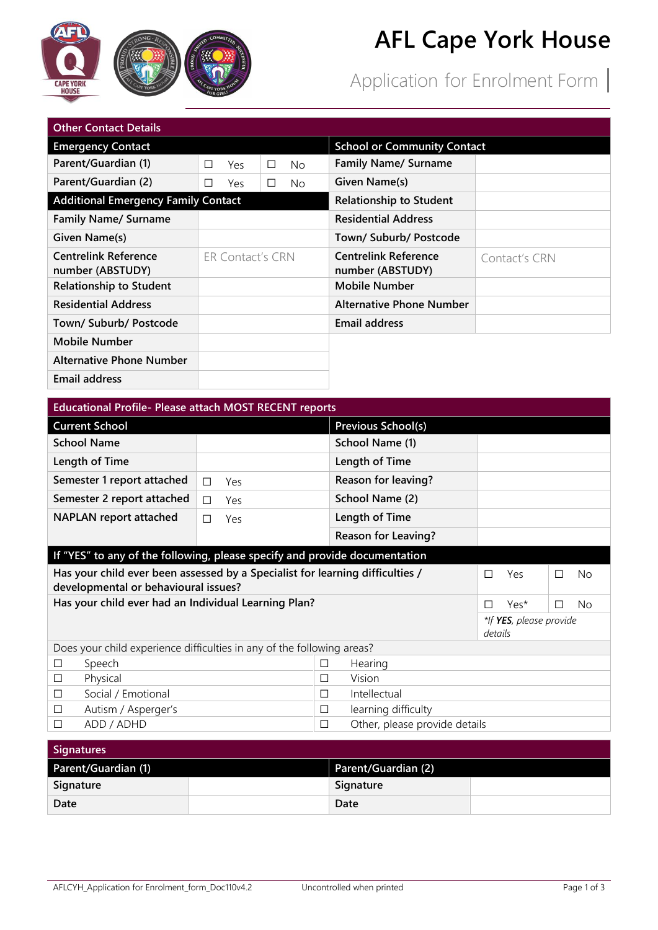

## **AFL Cape York House**

Application for Enrolment Form |

| <b>Other Contact Details</b>                    |   |                  |        |                                    |                                                 |               |  |  |
|-------------------------------------------------|---|------------------|--------|------------------------------------|-------------------------------------------------|---------------|--|--|
| <b>Emergency Contact</b>                        |   |                  |        | <b>School or Community Contact</b> |                                                 |               |  |  |
| Parent/Guardian (1)                             | П | Yes              | $\Box$ | No.                                | <b>Family Name/ Surname</b>                     |               |  |  |
| Parent/Guardian (2)                             | п | Yes              | П      | No.                                | Given Name(s)                                   |               |  |  |
| <b>Additional Emergency Family Contact</b>      |   |                  |        |                                    | <b>Relationship to Student</b>                  |               |  |  |
| <b>Family Name/ Surname</b>                     |   |                  |        |                                    | <b>Residential Address</b>                      |               |  |  |
| Given Name(s)                                   |   |                  |        |                                    | Town/ Suburb/ Postcode                          |               |  |  |
| <b>Centrelink Reference</b><br>number (ABSTUDY) |   | ER Contact's CRN |        |                                    | <b>Centrelink Reference</b><br>number (ABSTUDY) | Contact's CRN |  |  |
| <b>Relationship to Student</b>                  |   |                  |        |                                    | <b>Mobile Number</b>                            |               |  |  |
| <b>Residential Address</b>                      |   |                  |        |                                    | <b>Alternative Phone Number</b>                 |               |  |  |
| Town/ Suburb/ Postcode                          |   |                  |        |                                    | <b>Email address</b>                            |               |  |  |
| Mobile Number                                   |   |                  |        |                                    |                                                 |               |  |  |
| <b>Alternative Phone Number</b>                 |   |                  |        |                                    |                                                 |               |  |  |
| <b>Email address</b>                            |   |                  |        |                                    |                                                 |               |  |  |

| <b>Educational Profile- Please attach MOST RECENT reports</b>                                                                          |          |   |                                    |   |      |     |     |  |
|----------------------------------------------------------------------------------------------------------------------------------------|----------|---|------------------------------------|---|------|-----|-----|--|
| <b>Current School</b>                                                                                                                  |          |   | <b>Previous School(s)</b>          |   |      |     |     |  |
| <b>School Name</b>                                                                                                                     |          |   | School Name (1)                    |   |      |     |     |  |
| Length of Time                                                                                                                         |          |   | Length of Time                     |   |      |     |     |  |
| Semester 1 report attached                                                                                                             | П<br>Yes |   | <b>Reason for leaving?</b>         |   |      |     |     |  |
| Semester 2 report attached                                                                                                             | П<br>Yes |   | School Name (2)                    |   |      |     |     |  |
| <b>NAPLAN</b> report attached                                                                                                          | Yes<br>П |   | Length of Time                     |   |      |     |     |  |
|                                                                                                                                        |          |   | <b>Reason for Leaving?</b>         |   |      |     |     |  |
| If "YES" to any of the following, please specify and provide documentation                                                             |          |   |                                    |   |      |     |     |  |
| Has your child ever been assessed by a Specialist for learning difficulties /<br>Yes<br>□<br>П<br>developmental or behavioural issues? |          |   |                                    |   |      | No. |     |  |
| Has your child ever had an Individual Learning Plan?                                                                                   |          |   |                                    | П | Yes* |     | No. |  |
|                                                                                                                                        |          |   | *If YES, please provide<br>details |   |      |     |     |  |
| Does your child experience difficulties in any of the following areas?                                                                 |          |   |                                    |   |      |     |     |  |
| Speech<br>$\Box$                                                                                                                       |          | □ | Hearing                            |   |      |     |     |  |
| Physical<br>$\Box$                                                                                                                     |          | □ | Vision                             |   |      |     |     |  |
| Social / Emotional<br>$\Box$                                                                                                           |          | □ | Intellectual                       |   |      |     |     |  |
| Autism / Asperger's<br>$\Box$                                                                                                          |          | □ | learning difficulty                |   |      |     |     |  |
| ADD / ADHD<br>П                                                                                                                        |          | П | Other, please provide details      |   |      |     |     |  |

| Signatures          |  |                     |  |  |  |  |
|---------------------|--|---------------------|--|--|--|--|
| Parent/Guardian (1) |  | Parent/Guardian (2) |  |  |  |  |
| Signature           |  | Signature           |  |  |  |  |
| Date                |  | Date                |  |  |  |  |